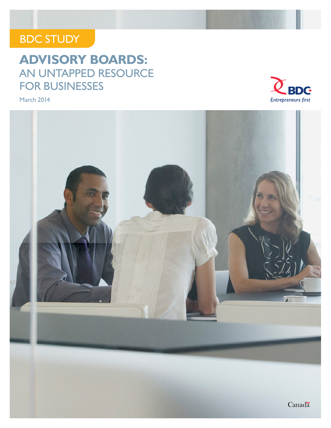### BDC STUDY

### **ADVISORY BOARDS:**  AN UNTAPPED RESOURCE FOR BUSINESSES

March 2014



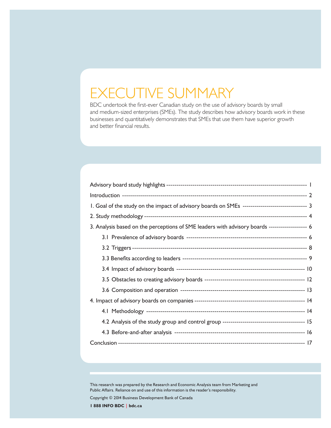### EXECUTIVE SUMMARY

BDC undertook the first-ever Canadian study on the use of advisory boards by small and medium-sized enterprises (SMEs). The study describes how advisory boards work in these businesses and quantitatively demonstrates that SMEs that use them have superior growth and better financial results.

| I. Goal of the study on the impact of advisory boards on SMEs ------------------------------ 3 |  |
|------------------------------------------------------------------------------------------------|--|
|                                                                                                |  |
| 3. Analysis based on the perceptions of SME leaders with advisory boards ------------------ 6  |  |
|                                                                                                |  |
|                                                                                                |  |
|                                                                                                |  |
|                                                                                                |  |
|                                                                                                |  |
|                                                                                                |  |
|                                                                                                |  |
|                                                                                                |  |
|                                                                                                |  |
|                                                                                                |  |
|                                                                                                |  |

This research was prepared by the Research and Economic Analysis team from Marketing and Public Affairs. Reliance on and use of this information is the reader's responsibility.

Copyright © 2014 Business Development Bank of Canada

**1 888 INFO BDC | bdc.ca**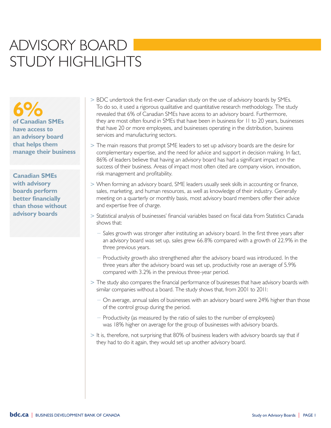### ADVISORY BOARD STUDY HIGHLIGHTS

**6% of Canadian SMEs have access to an advisory board that helps them manage their business**

**Canadian SMEs with advisory boards perform better financially than those without advisory boards**

- > BDC undertook the first-ever Canadian study on the use of advisory boards by SMEs. To do so, it used a rigorous qualitative and quantitative research methodology. The study revealed that 6% of Canadian SMEs have access to an advisory board. Furthermore, they are most often found in SMEs that have been in business for 11 to 20 years, businesses that have 20 or more employees, and businesses operating in the distribution, business services and manufacturing sectors.
- > The main reasons that prompt SME leaders to set up advisory boards are the desire for complementary expertise, and the need for advice and support in decision making. In fact, 86% of leaders believe that having an advisory board has had a significant impact on the success of their business. Areas of impact most often cited are company vision, innovation, risk management and profitability.
- > When forming an advisory board, SME leaders usually seek skills in accounting or finance, sales, marketing, and human resources, as well as knowledge of their industry. Generally meeting on a quarterly or monthly basis, most advisory board members offer their advice and expertise free of charge.
- > Statistical analysis of businesses' financial variables based on fiscal data from Statistics Canada shows that:
	- $−$  Sales growth was stronger after instituting an advisory board. In the first three years after an advisory board was set up, sales grew 66.8% compared with a growth of 22.9% in the three previous years.
	- − Productivity growth also strengthened after the advisory board was introduced. In the three years after the advisory board was set up, productivity rose an average of 5.9% compared with 3.2% in the previous three-year period.
- > The study also compares the financial performance of businesses that have advisory boards with similar companies without a board. The study shows that, from 2001 to 2011:
	- − On average, annual sales of businesses with an advisory board were 24% higher than those of the control group during the period.
	- − Productivity (as measured by the ratio of sales to the number of employees) was 18% higher on average for the group of businesses with advisory boards.
- > It is, therefore, not surprising that 80% of business leaders with advisory boards say that if they had to do it again, they would set up another advisory board.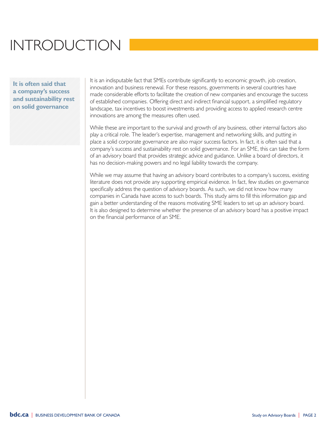## INTRODUCTION

**It is often said that a company's success and sustainability rest on solid governance**

It is an indisputable fact that SMEs contribute significantly to economic growth, job creation, innovation and business renewal. For these reasons, governments in several countries have made considerable efforts to facilitate the creation of new companies and encourage the success of established companies. Offering direct and indirect financial support, a simplified regulatory landscape, tax incentives to boost investments and providing access to applied research centre innovations are among the measures often used.

While these are important to the survival and growth of any business, other internal factors also play a critical role. The leader's expertise, management and networking skills, and putting in place a solid corporate governance are also major success factors. In fact, it is often said that a company's success and sustainability rest on solid governance. For an SME, this can take the form of an advisory board that provides strategic advice and guidance. Unlike a board of directors, it has no decision-making powers and no legal liability towards the company.

While we may assume that having an advisory board contributes to a company's success, existing literature does not provide any supporting empirical evidence. In fact, few studies on governance specifically address the question of advisory boards. As such, we did not know how many companies in Canada have access to such boards. This study aims to fill this information gap and gain a better understanding of the reasons motivating SME leaders to set up an advisory board. It is also designed to determine whether the presence of an advisory board has a positive impact on the financial performance of an SME.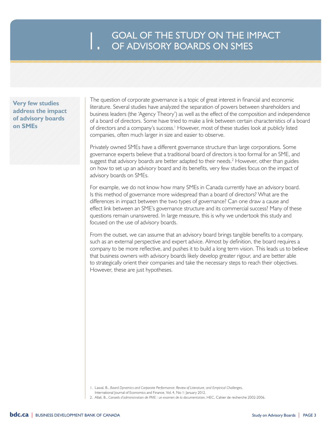# GOAL OF THE STUDY ON THE IMPACT<br>OF ADVISORY BOARDS ON SMES

**Very few studies address the impact of advisory boards on SMEs**

The question of corporate governance is a topic of great interest in financial and economic literature. Several studies have analyzed the separation of powers between shareholders and business leaders (the 'Agency Theory') as well as the effect of the composition and independence of a board of directors. Some have tried to make a link between certain characteristics of a board of directors and a company's success.<sup>1</sup> However, most of these studies look at publicly listed companies, often much larger in size and easier to observe.

Privately owned SMEs have a different governance structure than large corporations. Some governance experts believe that a traditional board of directors is too formal for an SME, and suggest that advisory boards are better adapted to their needs.<sup>2</sup> However, other than guides on how to set up an advisory board and its benefits, very few studies focus on the impact of advisory boards on SMEs.

For example, we do not know how many SMEs in Canada currently have an advisory board. Is this method of governance more widespread than a board of directors? What are the differences in impact between the two types of governance? Can one draw a cause and effect link between an SME's governance structure and its commercial success? Many of these questions remain unanswered. In large measure, this is why we undertook this study and focused on the use of advisory boards.

From the outset, we can assume that an advisory board brings tangible benefits to a company, such as an external perspective and expert advice. Almost by definition, the board requires a company to be more reflective, and pushes it to build a long term vision. This leads us to believe that business owners with advisory boards likely develop greater rigour, and are better able to strategically orient their companies and take the necessary steps to reach their objectives. However, these are just hypotheses.

- 1. Lawal, B., *Board Dynamics and Corporate Performance: Review of Literature, and Empirical Challenges*,
- International Journal of Economics and Finance, Vol. 4, No 1: January 2012.
- 2. Allali, B., *Conseils d'administration de PME : un examen de la documentation*, HEC, Cahier de recherche 2002-2006.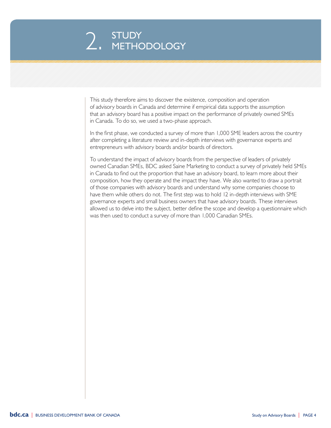# 2. STUDY<br>2. METHODOLOGY

This study therefore aims to discover the existence, composition and operation of advisory boards in Canada and determine if empirical data supports the assumption that an advisory board has a positive impact on the performance of privately owned SMEs in Canada. To do so, we used a two-phase approach.

In the first phase, we conducted a survey of more than 1,000 SME leaders across the country after completing a literature review and in-depth interviews with governance experts and entrepreneurs with advisory boards and/or boards of directors.

To understand the impact of advisory boards from the perspective of leaders of privately owned Canadian SMEs, BDC asked Saine Marketing to conduct a survey of privately held SMEs in Canada to find out the proportion that have an advisory board, to learn more about their composition, how they operate and the impact they have. We also wanted to draw a portrait of those companies with advisory boards and understand why some companies choose to have them while others do not. The first step was to hold 12 in-depth interviews with SME governance experts and small business owners that have advisory boards. These interviews allowed us to delve into the subject, better define the scope and develop a questionnaire which was then used to conduct a survey of more than 1,000 Canadian SMEs.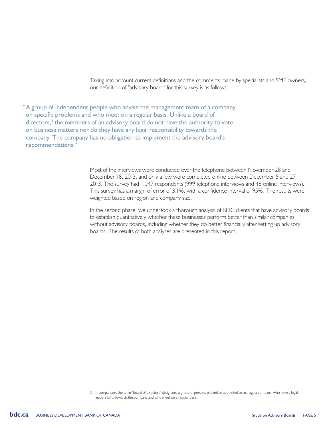Taking into account current definitions and the comments made by specialists and SME owners, our definition of "advisory board" for this survey is as follows:

"A group of independent people who advise the management team of a company on specific problems and who meet on a regular basis. Unlike a board of directors,<sup>3</sup> the members of an advisory board do not have the authority to vote on business matters nor do they have any legal responsibility towards the company. The company has no obligation to implement the advisory board's recommendations."

> Most of the interviews were conducted over the telephone between November 28 and December 18, 2013, and only a few were completed online between December 5 and 27, 2013. The survey had 1,047 respondents (999 telephone interviews and 48 online interviews). This survey has a margin of error of 3.1%, with a confidence interval of 95%. The results were weighted based on region and company size.

In the second phase, we undertook a thorough analysis of BDC clients that have advisory boards to establish quantitatively whether these businesses perform better than similar companies without advisory boards, including whether they do better financially after setting up advisory boards. The results of both analyses are presented in this report.

<sup>3.</sup> In comparison, the term "board of directors" designates a group of persons elected or appointed to manage a company, who have a legal responsibility towards the company and who meet on a regular basis.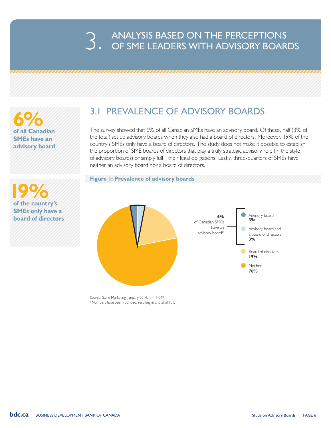# 3. ANALYSIS BASED ON THE PERCEPTIONS<br>3. OF SME LEADERS WITH ADVISORY BOARDS

**6% of all Canadian SMEs have an advisory board**

 **19% of the country's SMEs only have a board of directors**

### 3.1 PREVALENCE OF ADVISORY BOARDS

The survey showed that 6% of all Canadian SMEs have an advisory board. Of these, half (3% of the total) set up advisory boards when they also had a board of directors. Moreover, 19% of the country's SMEs only have a board of directors. The study does not make it possible to establish the proportion of SME boards of directors that play a truly strategic advisory role (in the style of advisory boards) or simply fulfill their legal obligations. Lastly, three-quarters of SMEs have neither an advisory board nor a board of directors.

**Figure 1: Prevalence of advisory boards**



Source: Saine Marketing, January 2014, n = 1,047 \*Numbers have been rounded, resulting in a total of 101.

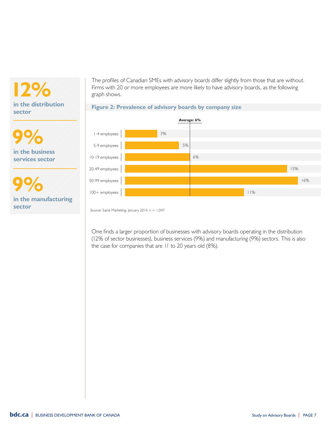**12% in the distribution sector**

**9% in the business services sector**

**9% in the manufacturing sector**

The profiles of Canadian SMEs with advisory boards differ slightly from those that are without. Firms with 20 or more employees are more likely to have advisory boards, as the following graph shows.





Source: Saine Marketing, January 2014, n = 1,047

One finds a larger proportion of businesses with advisory boards operating in the distribution (12% of sector businesses), business services (9%) and manufacturing (9%) sectors. This is also the case for companies that are 11 to 20 years old (8%).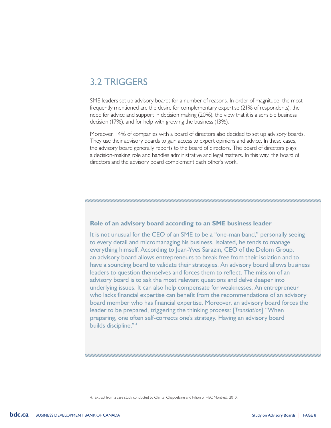### 3.2 TRIGGERS

SME leaders set up advisory boards for a number of reasons. In order of magnitude, the most frequently mentioned are the desire for complementary expertise (21% of respondents), the need for advice and support in decision making (20%), the view that it is a sensible business decision (17%), and for help with growing the business (13%).

Moreover, 14% of companies with a board of directors also decided to set up advisory boards. They use their advisory boards to gain access to expert opinions and advice. In these cases, the advisory board generally reports to the board of directors. The board of directors plays a decision-making role and handles administrative and legal matters. In this way, the board of directors and the advisory board complement each other's work.

#### **Role of an advisory board according to an SME business leader**

It is not unusual for the CEO of an SME to be a "one-man band," personally seeing to every detail and micromanaging his business. Isolated, he tends to manage everything himself. According to Jean-Yves Sarazin, CEO of the Delom Group, an advisory board allows entrepreneurs to break free from their isolation and to have a sounding board to validate their strategies. An advisory board allows business leaders to question themselves and forces them to reflect. The mission of an advisory board is to ask the most relevant questions and delve deeper into underlying issues. It can also help compensate for weaknesses. An entrepreneur who lacks financial expertise can benefit from the recommendations of an advisory board member who has financial expertise. Moreover, an advisory board forces the leader to be prepared, triggering the thinking process: [*Translation*] "When preparing, one often self-corrects one's strategy. Having an advisory board builds discipline." <sup>4</sup>

4. Extract from a case study conducted by Chirita, Chapdelaine and Fillion of HEC Montréal, 2010.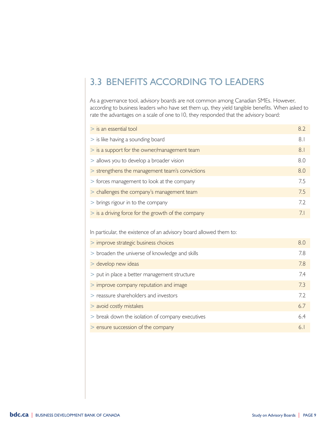### 3.3 BENEFITS ACCORDING TO LEADERS

As a governance tool, advisory boards are not common among Canadian SMEs. However, according to business leaders who have set them up, they yield tangible benefits. When asked to rate the advantages on a scale of one to 10, they responded that the advisory board:

| $>$ is an essential tool                                           | 8.2 |
|--------------------------------------------------------------------|-----|
| > is like having a sounding board                                  | 8.1 |
| > is a support for the owner/management team                       | 8.1 |
| > allows you to develop a broader vision                           | 8.0 |
| > strengthens the management team's convictions                    | 8.0 |
| > forces management to look at the company                         | 7.5 |
| > challenges the company's management team                         | 7.5 |
| > brings rigour in to the company                                  | 7.2 |
| > is a driving force for the growth of the company                 | 7.1 |
| In particular, the existence of an advisory board allowed them to: |     |
| > improve strategic business choices                               | 8.0 |
| > broaden the universe of knowledge and skills                     | 7.8 |
| > develop new ideas                                                | 7.8 |
| > put in place a better management structure                       | 7.4 |
| > improve company reputation and image                             | 7.3 |
| > reassure shareholders and investors                              | 7.2 |
| > avoid costly mistakes                                            | 6.7 |
| > break down the isolation of company executives                   | 6.4 |
| > ensure succession of the company                                 | 6.1 |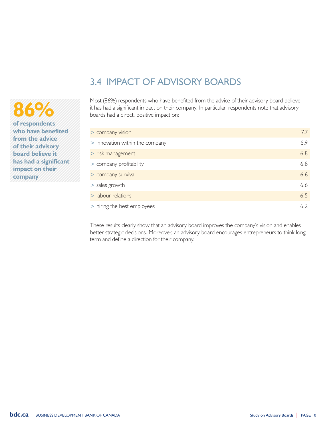## **86%**

**of respondents who have benefited from the advice of their advisory board believe it has had a significant impact on their company**

### 3.4 IMPACT OF ADVISORY BOARDS

Most (86%) respondents who have benefited from the advice of their advisory board believe it has had a significant impact on their company. In particular, respondents note that advisory boards had a direct, positive impact on:

| > company vision                | 7.7 |
|---------------------------------|-----|
| > innovation within the company | 6.9 |
| > risk management               | 6.8 |
| > company profitability         | 6.8 |
| > company survival              | 6.6 |
| $>$ sales growth                | 6.6 |
| > labour relations              | 6.5 |
| > hiring the best employees     | 6.2 |

These results clearly show that an advisory board improves the company's vision and enables better strategic decisions. Moreover, an advisory board encourages entrepreneurs to think long term and define a direction for their company.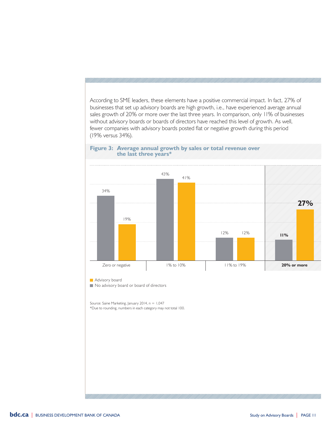According to SME leaders, these elements have a positive commercial impact. In fact, 27% of businesses that set up advisory boards are high growth, i.e., have experienced average annual sales growth of 20% or more over the last three years. In comparison, only 11% of businesses without advisory boards or boards of directors have reached this level of growth. As well, fewer companies with advisory boards posted flat or negative growth during this period (19% versus 34%).





**Advisory board** 

No advisory board or board of directors

Source: Saine Marketing, January 2014, n = 1,047 \*Due to rounding, numbers in each category may not total 100.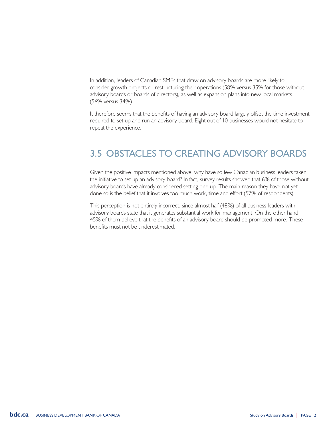In addition, leaders of Canadian SMEs that draw on advisory boards are more likely to consider growth projects or restructuring their operations (58% versus 35% for those without advisory boards or boards of directors), as well as expansion plans into new local markets (56% versus 34%).

It therefore seems that the benefits of having an advisory board largely offset the time investment required to set up and run an advisory board. Eight out of 10 businesses would not hesitate to repeat the experience.

### 3.5 OBSTACLES TO CREATING ADVISORY BOARDS

Given the positive impacts mentioned above, why have so few Canadian business leaders taken the initiative to set up an advisory board? In fact, survey results showed that 6% of those without advisory boards have already considered setting one up. The main reason they have not yet done so is the belief that it involves too much work, time and effort (57% of respondents).

This perception is not entirely incorrect, since almost half (48%) of all business leaders with advisory boards state that it generates substantial work for management. On the other hand, 45% of them believe that the benefits of an advisory board should be promoted more. These benefits must not be underestimated.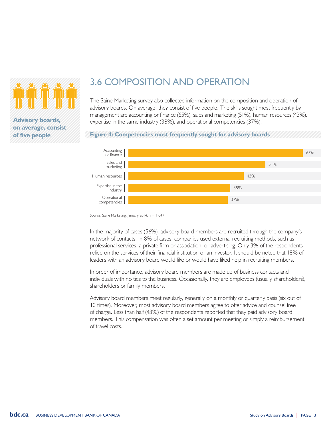

**Advisory boards, on average, consist of five people**

### 3.6 COMPOSITION AND OPERATION

The Saine Marketing survey also collected information on the composition and operation of advisory boards. On average, they consist of five people. The skills sought most frequently by management are accounting or finance (65%), sales and marketing (51%), human resources (43%), expertise in the same industry (38%), and operational competencies (37%).

#### **Figure 4: Competencies most frequently sought for advisory boards**



Source: Saine Marketing, January 2014, n = 1,047

In the majority of cases (56%), advisory board members are recruited through the company's network of contacts. In 8% of cases, companies used external recruiting methods, such as professional services, a private firm or association, or advertising. Only 3% of the respondents relied on the services of their financial institution or an investor. It should be noted that 18% of leaders with an advisory board would like or would have liked help in recruiting members.

In order of importance, advisory board members are made up of business contacts and individuals with no ties to the business. Occasionally, they are employees (usually shareholders), shareholders or family members.

Advisory board members meet regularly, generally on a monthly or quarterly basis (six out of 10 times). Moreover, most advisory board members agree to offer advice and counsel free of charge. Less than half (43%) of the respondents reported that they paid advisory board members. This compensation was often a set amount per meeting or simply a reimbursement of travel costs.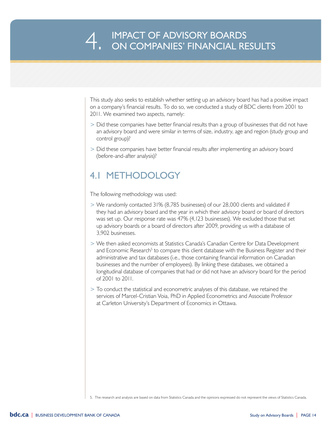This study also seeks to establish whether setting up an advisory board has had a positive impact on a company's financial results. To do so, we conducted a study of BDC clients from 2001 to 2011. We examined two aspects, namely:

- > Did these companies have better financial results than a group of businesses that did not have an advisory board and were similar in terms of size, industry, age and region (study group and control group)?
- > Did these companies have better financial results after implementing an advisory board (before-and-after analysis)?

#### 4.1 METHODOLOGY

The following methodology was used:

- > We randomly contacted 31% (8,785 businesses) of our 28,000 clients and validated if they had an advisory board and the year in which their advisory board or board of directors was set up. Our response rate was 47% (4,123 businesses). We excluded those that set up advisory boards or a board of directors after 2009, providing us with a database of 3,902 businesses.
- > We then asked economists at Statistics Canada's Canadian Centre for Data Development and Economic Research<sup>5</sup> to compare this client database with the Business Register and their administrative and tax databases (i.e., those containing financial information on Canadian businesses and the number of employees). By linking these databases, we obtained a longitudinal database of companies that had or did not have an advisory board for the period of 2001 to 2011.
- > To conduct the statistical and econometric analyses of this database, we retained the services of Marcel-Cristian Voia, PhD in Applied Econometrics and Associate Professor at Carleton University's Department of Economics in Ottawa.

5. The research and analysis are based on data from Statistics Canada and the opinions expressed do not represent the views of Statistics Canada.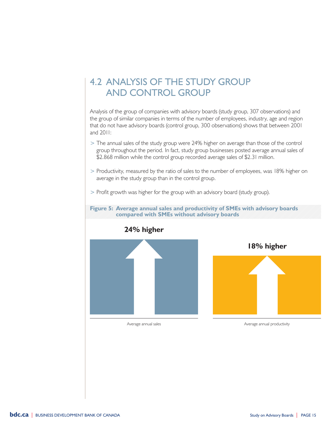### 4.2 ANALYSIS OF THE STUDY GROUP AND CONTROL GROUP

Analysis of the group of companies with advisory boards (study group, 307 observations) and the group of similar companies in terms of the number of employees, industry, age and region that do not have advisory boards (control group, 300 observations) shows that between 2001 and 2011:

- > The annual sales of the study group were 24% higher on average than those of the control group throughout the period. In fact, study group businesses posted average annual sales of \$2.868 million while the control group recorded average sales of \$2.31 million.
- > Productivity, measured by the ratio of sales to the number of employees, was 18% higher on average in the study group than in the control group.



> Profit growth was higher for the group with an advisory board (study group).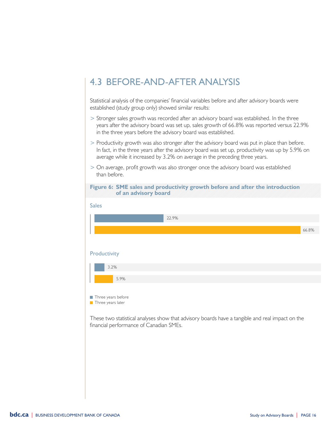### 4.3 BEFORE-AND-AFTER ANALYSIS

Statistical analysis of the companies' financial variables before and after advisory boards were established (study group only) showed similar results:

- > Stronger sales growth was recorded after an advisory board was established. In the three years after the advisory board was set up, sales growth of 66.8% was reported versus 22.9% in the three years before the advisory board was established.
- > Productivity growth was also stronger after the advisory board was put in place than before. In fact, in the three years after the advisory board was set up, productivity was up by 5.9% on average while it increased by 3.2% on average in the preceding three years.
- > On average, profit growth was also stronger once the advisory board was established than before.



**Three years later** 

These two statistical analyses show that advisory boards have a tangible and real impact on the financial performance of Canadian SMEs.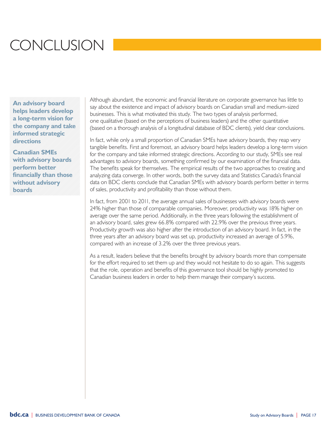## **CONCLUSION**

**An advisory board helps leaders develop a long-term vision for the company and take informed strategic directions**

**Canadian SMEs with advisory boards perform better financially than those without advisory boards**

Although abundant, the economic and financial literature on corporate governance has little to say about the existence and impact of advisory boards on Canadian small and medium-sized businesses. This is what motivated this study. The two types of analysis performed, one qualitative (based on the perceptions of business leaders) and the other quantitative (based on a thorough analysis of a longitudinal database of BDC clients), yield clear conclusions.

In fact, while only a small proportion of Canadian SMEs have advisory boards, they reap very tangible benefits. First and foremost, an advisory board helps leaders develop a long-term vision for the company and take informed strategic directions. According to our study, SMEs see real advantages to advisory boards, something confirmed by our examination of the financial data. The benefits speak for themselves. The empirical results of the two approaches to creating and analyzing data converge. In other words, both the survey data and Statistics Canada's financial data on BDC clients conclude that Canadian SMEs with advisory boards perform better in terms of sales, productivity and profitability than those without them.

In fact, from 2001 to 2011, the average annual sales of businesses with advisory boards were 24% higher than those of comparable companies. Moreover, productivity was 18% higher on average over the same period. Additionally, in the three years following the establishment of an advisory board, sales grew 66.8% compared with 22.9% over the previous three years. Productivity growth was also higher after the introduction of an advisory board. In fact, in the three years after an advisory board was set up, productivity increased an average of 5.9%, compared with an increase of 3.2% over the three previous years.

As a result, leaders believe that the benefits brought by advisory boards more than compensate for the effort required to set them up and they would not hesitate to do so again. This suggests that the role, operation and benefits of this governance tool should be highly promoted to Canadian business leaders in order to help them manage their company's success.